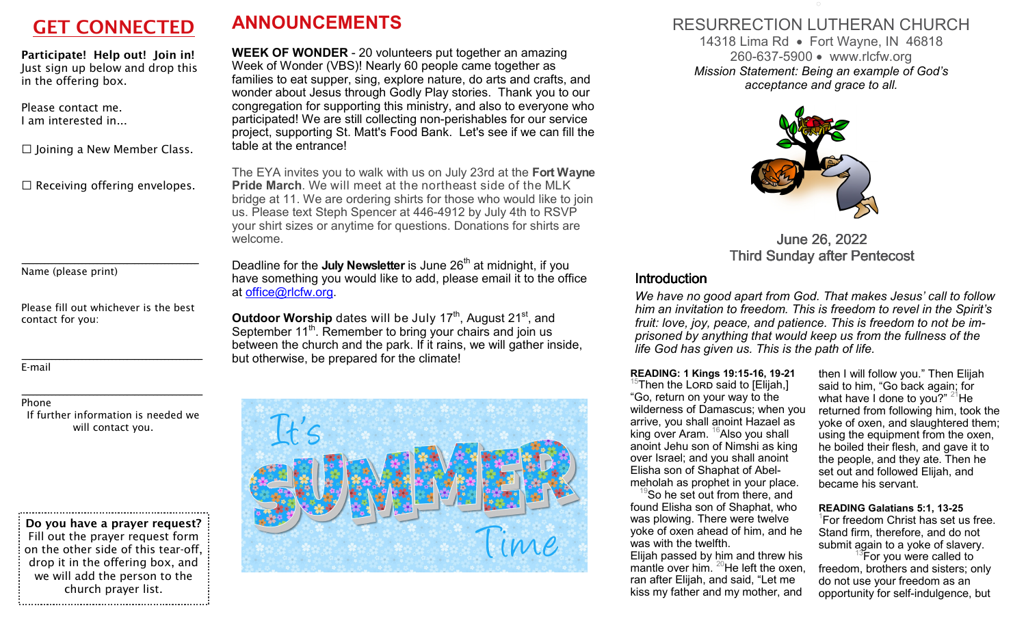**Participate! Help out! Join in!**  *Just sign up below and drop this in the offering box.* 

*Please contact me. I am interested in...* 

□ *Joining a New Member Class.* 

□ *Receiving offering envelopes.* 

*Name (please print)* 

*Please fill out whichever is the best contact for you:* 

**\_\_\_\_\_\_\_\_\_\_\_\_\_\_\_\_\_\_\_\_\_\_\_\_\_\_\_\_\_\_\_\_\_\_\_\_\_\_\_\_\_\_\_\_\_\_\_**

*E-mail* 

#### *Phone*

 *If further information is needed we will contact you.* 

**\_\_\_\_\_\_\_\_\_\_\_\_\_\_\_\_\_\_\_\_\_\_\_\_\_\_\_\_\_\_\_\_\_\_\_\_\_\_\_\_\_\_\_\_\_\_\_\_**

**\_\_\_\_\_\_\_\_\_\_\_\_\_\_\_\_\_\_\_\_\_\_\_\_\_\_\_\_\_\_\_\_\_\_\_\_\_\_\_\_\_\_\_\_\_\_\_\_**

**Do you have a prayer request?** *Fill out the prayer request form on the other side of this tear-off, drop it in the offering box, and we will add the person to the church prayer list.* 

# **GET CONNECTED ANNOUNCEMENTS**

**WEEK OF WONDER** - 20 volunteers put together an amazing Week of Wonder (VBS)! Nearly 60 people came together as families to eat supper, sing, explore nature, do arts and crafts, and wonder about Jesus through Godly Play stories. Thank you to our congregation for supporting this ministry, and also to everyone who participated! We are still collecting non-perishables for our service project, supporting St. Matt's Food Bank. Let's see if we can fill the table at the entrance!

The EYA invites you to walk with us on July 23rd at the **Fort Wayne Pride March**. We will meet at the northeast side of the MLK bridge at 11. We are ordering shirts for those who would like to join us. Please text Steph Spencer at 446-4912 by July 4th to RSVP your shirt sizes or anytime for questions. Donations for shirts are welcome.

Deadline for the **July Newsletter** is June 26<sup>th</sup> at midnight, if you have something you would like to add, please email it to the office at office@rlcfw.org.

**Outdoor Worship** dates will be July 17<sup>th</sup>, August 21<sup>st</sup>, and September 11<sup>th</sup>. Remember to bring your chairs and join us between the church and the park. If it rains, we will gather inside, but otherwise, be prepared for the climate!



### RESURRECTION LUTHERAN CHURCH 14318 Lima Rd • Fort Wayne, IN 46818 260-637-5900 www.rlcfw.org *Mission Statement: Being an example of God's acceptance and grace to all.*



June 26, 2022 **Third Sunday after Pentecost** 

### Introduction

 *We have no good apart from God. That makes Jesus' call to follow him an invitation to freedom. This is freedom to revel in the Spirit's fruit: love, joy, peace, and patience. This is freedom to not be imprisoned by anything that would keep us from the fullness of the life God has given us. This is the path of life.* 

**READING: 1 Kings 19:15-16, 19-21** <sup>15</sup>Then the LORD said to [Elijah,]

"Go, return on your way to the wilderness of Damascus; when you arrive, you shall anoint Hazael as king over Aram.  $16$ Also you shall anoint Jehu son of Nimshi as king over Israel; and you shall anoint Elisha son of Shaphat of Abel-

 $\mathrm{P}^{\mathrm{S}}$ So he set out from there, and found Elisha son of Shaphat, who was plowing. There were twelve yoke of oxen ahead of him, and he was with the twelfth.

 Elijah passed by him and threw his mantle over him.  $^{20}$ He left the oxen, ran after Elijah, and said, "Let me kiss my father and my mother, and

then I will follow you." Then Elijah said to him, "Go back again; for what have I done to you?"  $^{21}$ He returned from following him, took the yoke of oxen, and slaughtered them; using the equipment from the oxen, he boiled their flesh, and gave it to the people, and they ate. Then he set out and followed Elijah, and became his servant.

### **READING Galatians 5:1, 13-25**

 $^{\rm 1}$ For freedom Christ has set us free. Stand firm, therefore, and do not submit again to a yoke of slavery.<br><sup>13</sup>For you were called to

 freedom, brothers and sisters; only do not use your freedom as an opportunity for self-indulgence, but